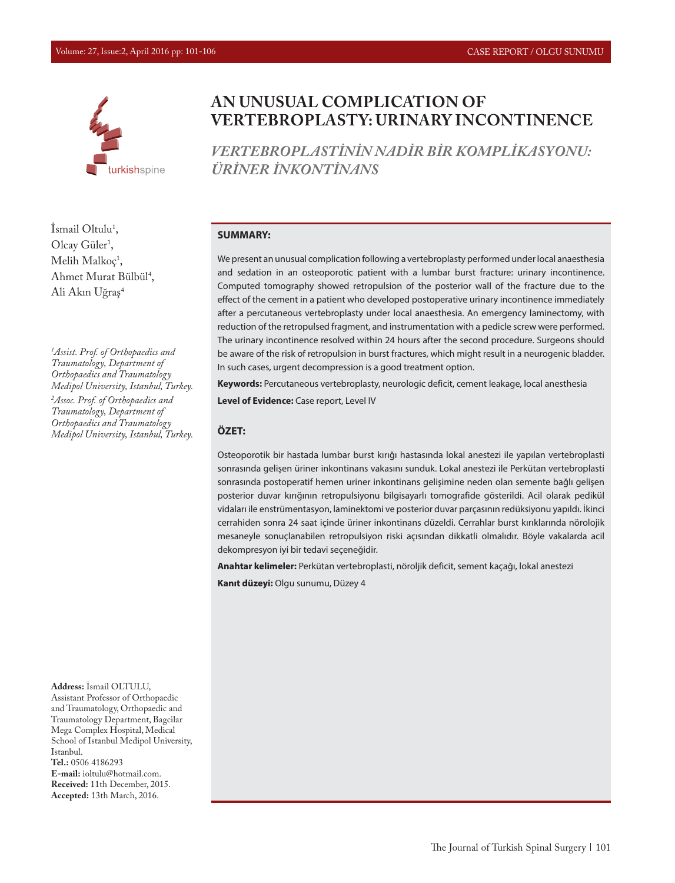

**AN UNUSUAL COMPLICATION OF VERTEBROPLASTY: URINARY INCONTINENCE**

*VERTEBROPLASTİNİN NADİR BİR KOMPLİKASYONU: ÜRİNER İNKONTİNANS*

#### **SUMMARY:**

We present an unusual complication following a vertebroplasty performed under local anaesthesia and sedation in an osteoporotic patient with a lumbar burst fracture: urinary incontinence. Computed tomography showed retropulsion of the posterior wall of the fracture due to the effect of the cement in a patient who developed postoperative urinary incontinence immediately after a percutaneous vertebroplasty under local anaesthesia. An emergency laminectomy, with reduction of the retropulsed fragment, and instrumentation with a pedicle screw were performed. The urinary incontinence resolved within 24 hours after the second procedure. Surgeons should be aware of the risk of retropulsion in burst fractures, which might result in a neurogenic bladder. In such cases, urgent decompression is a good treatment option.

**Keywords:** Percutaneous vertebroplasty, neurologic deficit, cement leakage, local anesthesia

**Level of Evidence:** Case report, Level IV

#### **ÖZET:**

Osteoporotik bir hastada lumbar burst kırığı hastasında lokal anestezi ile yapılan vertebroplasti sonrasında gelişen üriner inkontinans vakasını sunduk. Lokal anestezi ile Perkütan vertebroplasti sonrasında postoperatif hemen uriner inkontinans gelişimine neden olan semente bağlı gelişen posterior duvar kırığının retropulsiyonu bilgisayarlı tomografide gösterildi. Acil olarak pedikül vidaları ile enstrümentasyon, laminektomi ve posterior duvar parçasının redüksiyonu yapıldı. İkinci cerrahiden sonra 24 saat içinde üriner inkontinans düzeldi. Cerrahlar burst kırıklarında nörolojik mesaneyle sonuçlanabilen retropulsiyon riski açısından dikkatli olmalıdır. Böyle vakalarda acil dekompresyon iyi bir tedavi seçeneğidir.

**Anahtar kelimeler:** Perkütan vertebroplasti, nöroljik deficit, sement kaçağı, lokal anestezi

**Kanıt düzeyi:** Olgu sunumu, Düzey 4

**Address:** İsmail OLTULU, Assistant Professor of Orthopaedic and Traumatology, Orthopaedic and Traumatology Department, Bagcilar Mega Complex Hospital, Medical School of Istanbul Medipol University, Istanbul. **Tel.:** 0506 4186293 **E-mail:** ioltulu@hotmail.com. **Received:** 11th December, 2015. **Accepted:** 13th March, 2016.

Ismail Oltulu<sup>1</sup>, Olcay Güler<sup>1</sup>,  $M$ elih Malkoç $,$ Ahmet Murat Bülbül<sup>4</sup>, Ali Akın Uğraş4

*1 Assist. Prof. of Orthopaedics and Traumatology, Department of Orthopaedics and Traumatology Medipol University, Istanbul, Turkey.*

*2 Assoc. Prof. of Orthopaedics and Traumatology, Department of Orthopaedics and Traumatology Medipol University, Istanbul, Turkey.*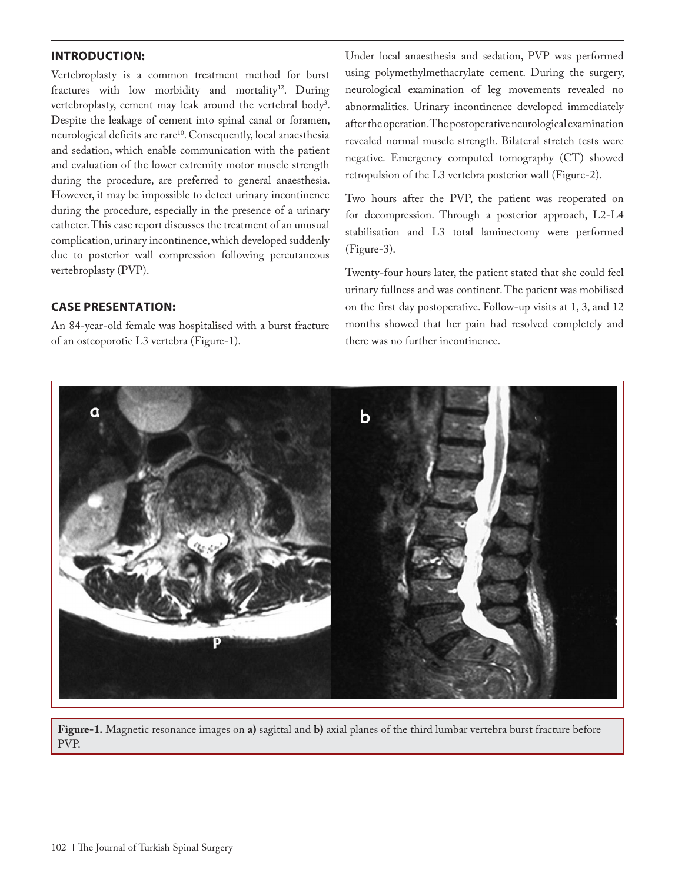# **INTRODUCTION:**

Vertebroplasty is a common treatment method for burst fractures with low morbidity and mortality<sup>12</sup>. During vertebroplasty, cement may leak around the vertebral body<sup>3</sup>. Despite the leakage of cement into spinal canal or foramen, neurological deficits are rare<sup>10</sup>. Consequently, local anaesthesia and sedation, which enable communication with the patient and evaluation of the lower extremity motor muscle strength during the procedure, are preferred to general anaesthesia. However, it may be impossible to detect urinary incontinence during the procedure, especially in the presence of a urinary catheter. This case report discusses the treatment of an unusual complication, urinary incontinence, which developed suddenly due to posterior wall compression following percutaneous vertebroplasty (PVP).

## **CASE PRESENTATION:**

An 84-year-old female was hospitalised with a burst fracture of an osteoporotic L3 vertebra (Figure-1).

Under local anaesthesia and sedation, PVP was performed using polymethylmethacrylate cement. During the surgery, neurological examination of leg movements revealed no abnormalities. Urinary incontinence developed immediately after the operation. The postoperative neurological examination revealed normal muscle strength. Bilateral stretch tests were negative. Emergency computed tomography (CT) showed retropulsion of the L3 vertebra posterior wall (Figure-2).

Two hours after the PVP, the patient was reoperated on for decompression. Through a posterior approach, L2-L4 stabilisation and L3 total laminectomy were performed (Figure-3).

Twenty-four hours later, the patient stated that she could feel urinary fullness and was continent. The patient was mobilised on the first day postoperative. Follow-up visits at 1, 3, and 12 months showed that her pain had resolved completely and there was no further incontinence.



**Figure-1.** Magnetic resonance images on **a)** sagittal and **b)** axial planes of the third lumbar vertebra burst fracture before PVP.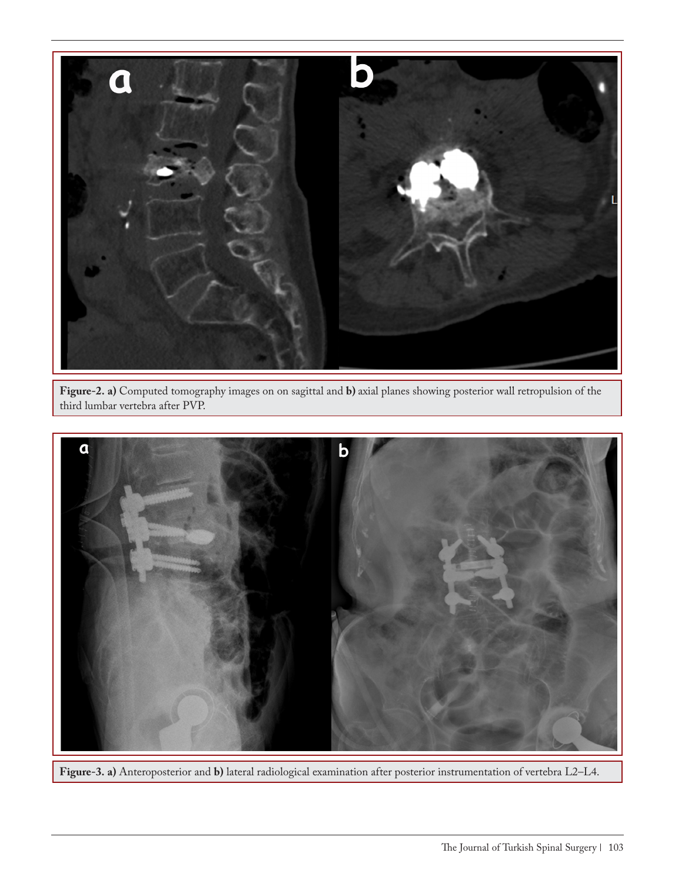

**Figure-2. a)** Computed tomography images on on sagittal and **b)** axial planes showing posterior wall retropulsion of the third lumbar vertebra after PVP.



**Figure-3. a)** Anteroposterior and **b)** lateral radiological examination after posterior instrumentation of vertebra L2–L4.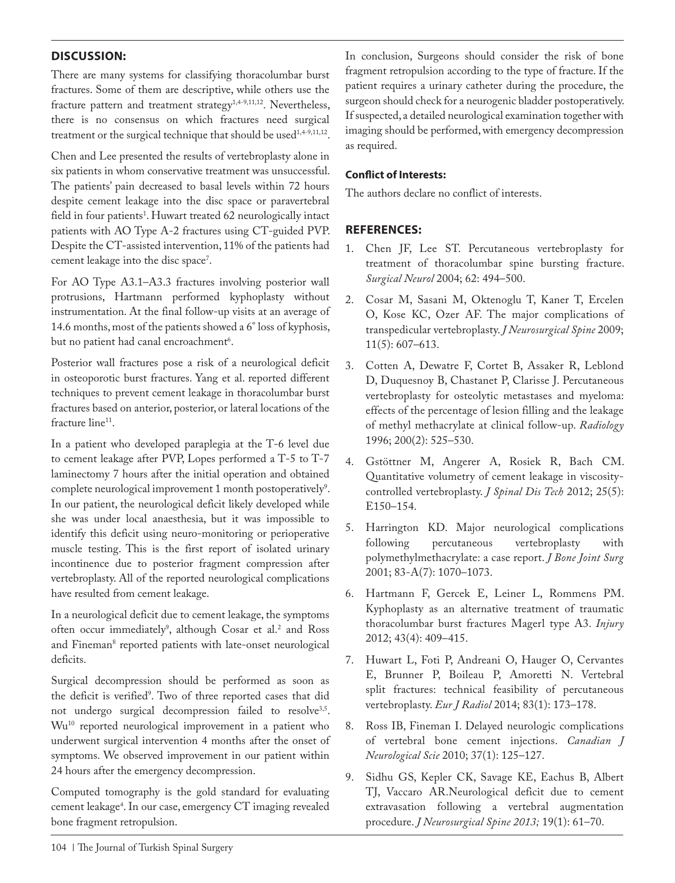# **DISCUSSION:**

There are many systems for classifying thoracolumbar burst fractures. Some of them are descriptive, while others use the fracture pattern and treatment strategy<sup>1,4-9,11,12</sup>. Nevertheless, there is no consensus on which fractures need surgical treatment or the surgical technique that should be used<sup>1,4-9,11,12</sup>.

Chen and Lee presented the results of vertebroplasty alone in six patients in whom conservative treatment was unsuccessful. The patients' pain decreased to basal levels within 72 hours despite cement leakage into the disc space or paravertebral field in four patients<sup>1</sup>. Huwart treated 62 neurologically intact patients with AO Type A-2 fractures using CT-guided PVP. Despite the CT-assisted intervention, 11% of the patients had cement leakage into the disc space<sup>7</sup>.

For AO Type A3.1–A3.3 fractures involving posterior wall protrusions, Hartmann performed kyphoplasty without instrumentation. At the final follow-up visits at an average of 14.6 months, most of the patients showed a 6° loss of kyphosis, but no patient had canal encroachment<sup>6</sup>.

Posterior wall fractures pose a risk of a neurological deficit in osteoporotic burst fractures. Yang et al. reported different techniques to prevent cement leakage in thoracolumbar burst fractures based on anterior, posterior, or lateral locations of the fracture line<sup>11</sup>.

In a patient who developed paraplegia at the T-6 level due to cement leakage after PVP, Lopes performed a T-5 to T-7 laminectomy 7 hours after the initial operation and obtained complete neurological improvement 1 month postoperatively<sup>9</sup>. In our patient, the neurological deficit likely developed while she was under local anaesthesia, but it was impossible to identify this deficit using neuro-monitoring or perioperative muscle testing. This is the first report of isolated urinary incontinence due to posterior fragment compression after vertebroplasty. All of the reported neurological complications have resulted from cement leakage.

In a neurological deficit due to cement leakage, the symptoms often occur immediately<sup>9</sup>, although Cosar et al.<sup>2</sup> and Ross and Fineman<sup>8</sup> reported patients with late-onset neurological deficits.

Surgical decompression should be performed as soon as the deficit is verified<sup>9</sup>. Two of three reported cases that did not undergo surgical decompression failed to resolve<sup>3,5</sup>. Wu10 reported neurological improvement in a patient who underwent surgical intervention 4 months after the onset of symptoms. We observed improvement in our patient within 24 hours after the emergency decompression.

Computed tomography is the gold standard for evaluating cement leakage4 . In our case, emergency CT imaging revealed bone fragment retropulsion.

In conclusion, Surgeons should consider the risk of bone fragment retropulsion according to the type of fracture. If the patient requires a urinary catheter during the procedure, the surgeon should check for a neurogenic bladder postoperatively. If suspected, a detailed neurological examination together with imaging should be performed, with emergency decompression as required.

### **Conflict of Interests:**

The authors declare no conflict of interests.

# **REFERENCES:**

- 1. Chen JF, Lee ST. Percutaneous vertebroplasty for treatment of thoracolumbar spine bursting fracture. *Surgical Neurol* 2004; 62: 494–500.
- 2. Cosar M, Sasani M, Oktenoglu T, Kaner T, Ercelen O, Kose KC, Ozer AF. The major complications of transpedicular vertebroplasty. *J Neurosurgical Spine* 2009; 11(5): 607–613.
- 3. Cotten A, Dewatre F, Cortet B, Assaker R, Leblond D, Duquesnoy B, Chastanet P, Clarisse J. Percutaneous vertebroplasty for osteolytic metastases and myeloma: effects of the percentage of lesion filling and the leakage of methyl methacrylate at clinical follow-up. *Radiology*  1996; 200(2): 525–530.
- 4. Gstöttner M, Angerer A, Rosiek R, Bach CM. Quantitative volumetry of cement leakage in viscositycontrolled vertebroplasty. *J Spinal Dis Tech* 2012; 25(5): E150–154.
- 5. Harrington KD. Major neurological complications following percutaneous vertebroplasty with polymethylmethacrylate: a case report. *J Bone Joint Surg*  2001; 83-A(7): 1070–1073.
- 6. Hartmann F, Gercek E, Leiner L, Rommens PM. Kyphoplasty as an alternative treatment of traumatic thoracolumbar burst fractures Magerl type A3. *Injury*  2012; 43(4): 409–415.
- 7. Huwart L, Foti P, Andreani O, Hauger O, Cervantes E, Brunner P, Boileau P, Amoretti N. Vertebral split fractures: technical feasibility of percutaneous vertebroplasty. *Eur J Radiol* 2014; 83(1): 173–178.
- 8. Ross IB, Fineman I. Delayed neurologic complications of vertebral bone cement injections. *Canadian J Neurological Scie* 2010; 37(1): 125–127.
- 9. Sidhu GS, Kepler CK, Savage KE, Eachus B, Albert TJ, Vaccaro AR.Neurological deficit due to cement extravasation following a vertebral augmentation procedure. *J Neurosurgical Spine 2013;* 19(1): 61–70.